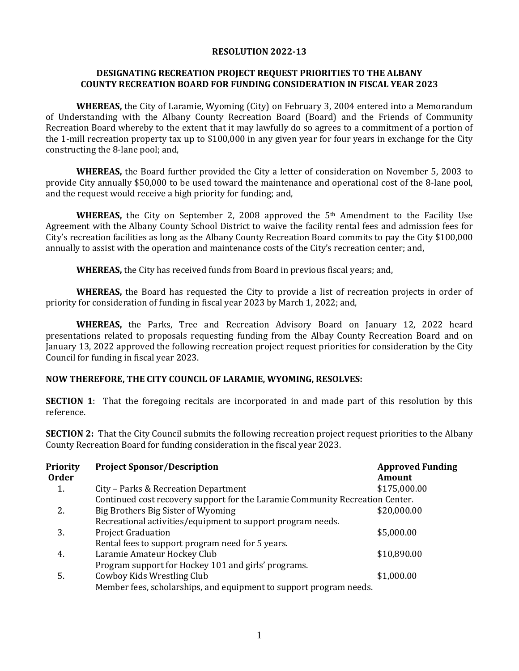#### **RESOLUTION 2022-13**

### **DESIGNATING RECREATION PROJECT REQUEST PRIORITIES TO THE ALBANY COUNTY RECREATION BOARD FOR FUNDING CONSIDERATION IN FISCAL YEAR 2023**

**WHEREAS,** the City of Laramie, Wyoming (City) on February 3, 2004 entered into a Memorandum of Understanding with the Albany County Recreation Board (Board) and the Friends of Community Recreation Board whereby to the extent that it may lawfully do so agrees to a commitment of a portion of the 1-mill recreation property tax up to \$100,000 in any given year for four years in exchange for the City constructing the 8-lane pool; and,

**WHEREAS,** the Board further provided the City a letter of consideration on November 5, 2003 to provide City annually \$50,000 to be used toward the maintenance and operational cost of the 8-lane pool, and the request would receive a high priority for funding; and,

**WHEREAS,** the City on September 2, 2008 approved the  $5<sup>th</sup>$  Amendment to the Facility Use Agreement with the Albany County School District to waive the facility rental fees and admission fees for City's recreation facilities as long as the Albany County Recreation Board commits to pay the City \$100,000 annually to assist with the operation and maintenance costs of the City's recreation center; and,

**WHEREAS,** the City has received funds from Board in previous fiscal years; and,

**WHEREAS,** the Board has requested the City to provide a list of recreation projects in order of priority for consideration of funding in fiscal year 2023 by March 1, 2022; and,

**WHEREAS,** the Parks, Tree and Recreation Advisory Board on January 12, 2022 heard presentations related to proposals requesting funding from the Albay County Recreation Board and on January 13, 2022 approved the following recreation project request priorities for consideration by the City Council for funding in fiscal year 2023.

## **NOW THEREFORE, THE CITY COUNCIL OF LARAMIE, WYOMING, RESOLVES:**

**SECTION 1:** That the foregoing recitals are incorporated in and made part of this resolution by this reference.

**SECTION 2:** That the City Council submits the following recreation project request priorities to the Albany County Recreation Board for funding consideration in the fiscal year 2023.

| <b>Priority</b><br><b>Order</b> | <b>Project Sponsor/Description</b>                                           | <b>Approved Funding</b><br><b>Amount</b> |
|---------------------------------|------------------------------------------------------------------------------|------------------------------------------|
| 1.                              | City – Parks & Recreation Department                                         | \$175,000.00                             |
|                                 | Continued cost recovery support for the Laramie Community Recreation Center. |                                          |
| 2.                              | Big Brothers Big Sister of Wyoming                                           | \$20,000.00                              |
|                                 | Recreational activities/equipment to support program needs.                  |                                          |
| 3.                              | <b>Project Graduation</b>                                                    | \$5,000.00                               |
|                                 | Rental fees to support program need for 5 years.                             |                                          |
| 4.                              | Laramie Amateur Hockey Club                                                  | \$10,890.00                              |
|                                 | Program support for Hockey 101 and girls' programs.                          |                                          |
| 5.                              | Cowboy Kids Wrestling Club                                                   | \$1,000.00                               |
|                                 | Member fees, scholarships, and equipment to support program needs.           |                                          |